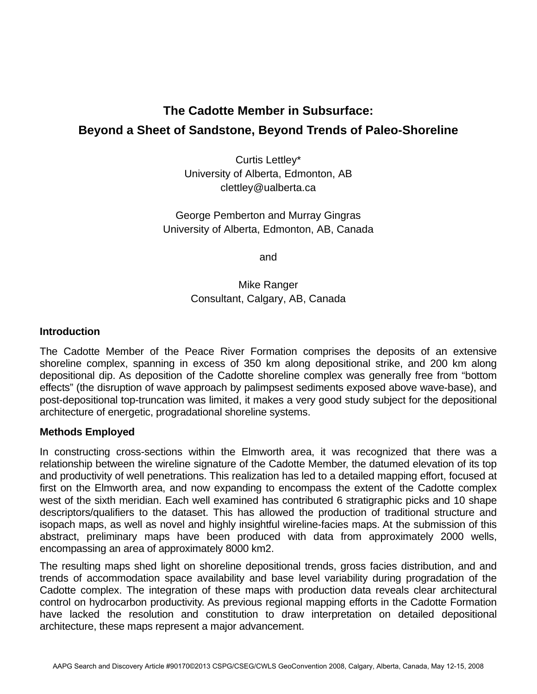# **The Cadotte Member in Subsurface: Beyond a Sheet of Sandstone, Beyond Trends of Paleo-Shoreline**

Curtis Lettley\* University of Alberta, Edmonton, AB clettley@ualberta.ca

George Pemberton and Murray Gingras University of Alberta, Edmonton, AB, Canada

and

# Mike Ranger Consultant, Calgary, AB, Canada

## **Introduction**

The Cadotte Member of the Peace River Formation comprises the deposits of an extensive shoreline complex, spanning in excess of 350 km along depositional strike, and 200 km along depositional dip. As deposition of the Cadotte shoreline complex was generally free from "bottom effects" (the disruption of wave approach by palimpsest sediments exposed above wave-base), and post-depositional top-truncation was limited, it makes a very good study subject for the depositional architecture of energetic, progradational shoreline systems.

## **Methods Employed**

In constructing cross-sections within the Elmworth area, it was recognized that there was a relationship between the wireline signature of the Cadotte Member, the datumed elevation of its top and productivity of well penetrations. This realization has led to a detailed mapping effort, focused at first on the Elmworth area, and now expanding to encompass the extent of the Cadotte complex west of the sixth meridian. Each well examined has contributed 6 stratigraphic picks and 10 shape descriptors/qualifiers to the dataset. This has allowed the production of traditional structure and isopach maps, as well as novel and highly insightful wireline-facies maps. At the submission of this abstract, preliminary maps have been produced with data from approximately 2000 wells, encompassing an area of approximately 8000 km2.

The resulting maps shed light on shoreline depositional trends, gross facies distribution, and and trends of accommodation space availability and base level variability during progradation of the Cadotte complex. The integration of these maps with production data reveals clear architectural control on hydrocarbon productivity. As previous regional mapping efforts in the Cadotte Formation have lacked the resolution and constitution to draw interpretation on detailed depositional architecture, these maps represent a major advancement.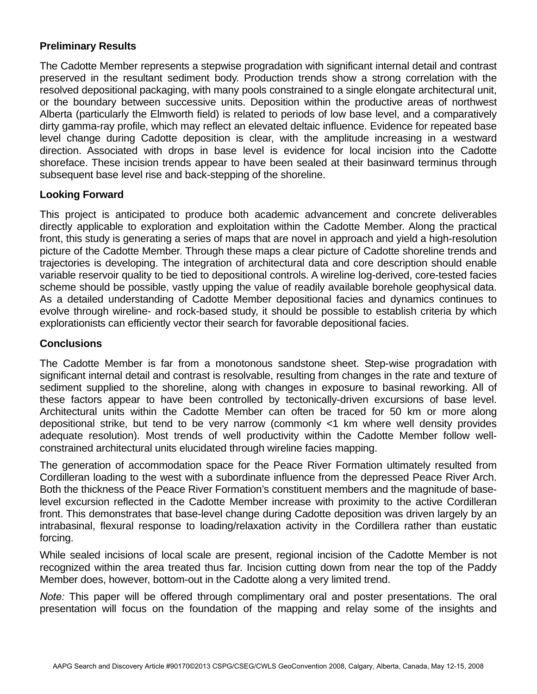# **Preliminary Results**

The Cadotte Member represents a stepwise progradation with significant internal detail and contrast preserved in the resultant sediment body. Production trends show a strong correlation with the resolved depositional packaging, with many pools constrained to a single elongate architectural unit, or the boundary between successive units. Deposition within the productive areas of northwest Alberta (particularly the Elmworth field) is related to periods of low base level, and a comparatively dirty gamma-ray profile, which may reflect an elevated deltaic influence. Evidence for repeated base level change during Cadotte deposition is clear, with the amplitude increasing in a westward direction. Associated with drops in base level is evidence for local incision into the Cadotte shoreface. These incision trends appear to have been sealed at their basinward terminus through subsequent base level rise and back-stepping of the shoreline.

## **Looking Forward**

This project is anticipated to produce both academic advancement and concrete deliverables directly applicable to exploration and exploitation within the Cadotte Member. Along the practical front, this study is generating a series of maps that are novel in approach and yield a high-resolution picture of the Cadotte Member. Through these maps a clear picture of Cadotte shoreline trends and trajectories is developing. The integration of architectural data and core description should enable variable reservoir quality to be tied to depositional controls. A wireline log-derived, core-tested facies scheme should be possible, vastly upping the value of readily available borehole geophysical data. As a detailed understanding of Cadotte Member depositional facies and dynamics continues to evolve through wireline- and rock-based study, it should be possible to establish criteria by which explorationists can efficiently vector their search for favorable depositional facies.

#### **Conclusions**

The Cadotte Member is far from a monotonous sandstone sheet. Step-wise progradation with significant internal detail and contrast is resolvable, resulting from changes in the rate and texture of sediment supplied to the shoreline, along with changes in exposure to basinal reworking. All of these factors appear to have been controlled by tectonically-driven excursions of base level. Architectural units within the Cadotte Member can often be traced for 50 km or more along depositional strike, but tend to be very narrow (commonly <1 km where well density provides adequate resolution). Most trends of well productivity within the Cadotte Member follow wellconstrained architectural units elucidated through wireline facies mapping.

The generation of accommodation space for the Peace River Formation ultimately resulted from Cordilleran loading to the west with a subordinate influence from the depressed Peace River Arch. Both the thickness of the Peace River Formation's constituent members and the magnitude of baselevel excursion reflected in the Cadotte Member increase with proximity to the active Cordilleran front. This demonstrates that base-level change during Cadotte deposition was driven largely by an intrabasinal, flexural response to loading/relaxation activity in the Cordillera rather than eustatic forcing.

While sealed incisions of local scale are present, regional incision of the Cadotte Member is not recognized within the area treated thus far. Incision cutting down from near the top of the Paddy Member does, however, bottom-out in the Cadotte along a very limited trend.

*Note:* This paper will be offered through complimentary oral and poster presentations. The oral presentation will focus on the foundation of the mapping and relay some of the insights and